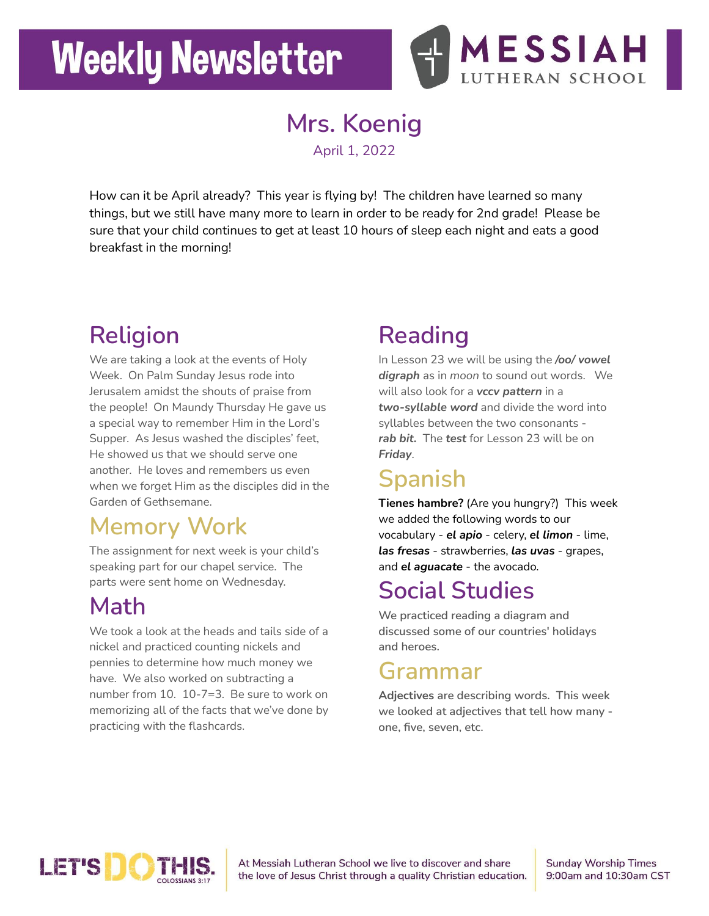# **Weekly Newsletter**



# **Mrs. Koenig**

April 1, 2022

How can it be April already? This year is flying by! The children have learned so many things, but we still have many more to learn in order to be ready for 2nd grade! Please be sure that your child continues to get at least 10 hours of sleep each night and eats a good breakfast in the morning!

## **Religion**

We are taking a look at the events of Holy Week. On Palm Sunday Jesus rode into Jerusalem amidst the shouts of praise from the people! On Maundy Thursday He gave us a special way to remember Him in the Lord's Supper. As Jesus washed the disciples' feet, He showed us that we should serve one another. He loves and remembers us even when we forget Him as the disciples did in the Garden of Gethsemane.

#### **Memory Work**

The assignment for next week is your child's speaking part for our chapel service. The parts were sent home on Wednesday.

#### **Math**

We took a look at the heads and tails side of a nickel and practiced counting nickels and pennies to determine how much money we have. We also worked on subtracting a number from 10. 10-7=3. Be sure to work on memorizing all of the facts that we've done by practicing with the flashcards.

# **Reading**

In Lesson 23 we will be using the */oo/ vowel digraph* as in *moon* to sound out words. We will also look for a *vccv pattern* in a *two-syllable word* and divide the word into syllables between the two consonants *rab bit.* The *test* for Lesson 23 will be on *Friday*.

### **Spanish**

**Tienes hambre?** (Are you hungry?) This week we added the following words to our vocabulary - *el apio* - celery, *el limon* - lime, *las fresas* - strawberries, *las uvas* - grapes, and *el aguacate* - the avocado.

#### **Social Studies**

**We practiced reading a diagram and discussed some of our countries' holidays and heroes.**

#### **Grammar**

**Adjectives are describing words. This week we looked at adjectives that tell how many one, five, seven, etc.**



At Messiah Lutheran School we live to discover and share the love of Jesus Christ through a quality Christian education. **Sunday Worship Times** 9:00am and 10:30am CST